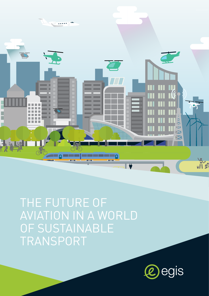

THE FUTURE OF AVIATION IN A WORLD OF SUSTAINABLE TRANSPORT

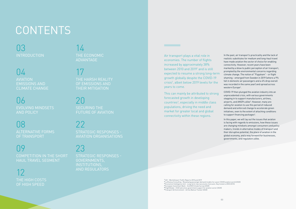ACI - World Airport Traffic Reports 2010 and 2019 Lufthansa Consulting - Revamping passenger demand models for a post-COVID aviation world (2020) Economist Intelligence Unit - Long-term macroeconomic forecasts: Key trends to 2050 (2015) European Investment Bank - 2nd EIB Climate Survey (2020)

**<sup>5</sup>**FlightGlobal - ICAO welcomes government support for aviation sector (2020) **<sup>6</sup>** Transport & Environment - Airline Bailout Tracker (2020)

In the past, air transport's practicality and the lack of realistic substitutes for medium and long-haul travel have made aviation the sector of choice for enabling connectivity. However, recent years have been marked by a blow to public perception of air transport, prompted by the environmental concerns regarding climate change. The notion of "Flygskam" - or flight shaming - emerged from Sweden in 2019 (where a 9% fall in domestic air passengers and a 4% drop overall was recorded in the same year) and spread across western Europe<sup>4</sup>.

Air transport plays a vital role in economies. The number of flights increased by approximately 38% between 2010 and 2019<sup>1</sup> and is still expected to resume a strong long-term growth globally despite the COVID-19 crisis2 , albeit below 2019 levels for the years to come.

> COVID-19 then plunged the aviation industry into an unprecedented crisis, with various governments stepping in to support manufacturers, airlines, airports, and ANSPs alike<sup>5</sup>. However, many are calling for aviation to use this period of reduced demand and enforced change to accelerate green initiatives, even to the extent of attaching conditions to support financing packages<sup>6</sup>.

This can mainly be attributed to strong forecasted growth in developing countries<sup>3</sup>, especially in middle class populations, driving the need and market for greater local and global connectivity within these regions.

03 **INTRODUCTION** 

 $04$ AVIATION EMISSIONS AND CLIMATE CHANGE

> In this paper, we will lay out the issues that aviation is facing with regards to emissions, how these issues are changing mindsets amongst consumers and policy makers, trends in alternative modes of transport and their disruptive potential, the place of aviation in the global economy, and a way forward for businesses, governments, and regulators alike.

08

## 23

22

# CONTENTS

06 EVOLVING MINDSETS AND POLICY

14 THE ECONOMIC ADVANTAGE

20 SECURING THE FUTURE OF AVIATION

ALTERNATIVE FORMS OF TRANSPORT

### n9

COMPETITION IN THE SHORT HAUL TRAVEL SEGMENT

12 THE HIGH COSTS OF HIGH SPEED

17 THE HARSH REALITY OF EMISSIONS AND THEIR MITIGATION

STRATEGIC RESPONSES - GOVERNMENTS, INSTITUTIONS, AND REGULATORS

STRATEGIC RESPONSES - AVIATION ORGANISATIONS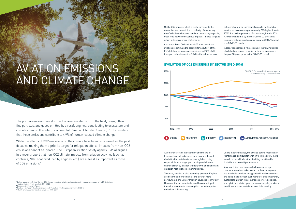#### **EVOLUTION OF CO2 EMISSIONS BY SECTOR (1990-2016)**



While the effects of CO2 emissions on the climate have been recognised for the past decades, making them a priority target for mitigation efforts, impacts from non-CO2 emissions cannot be ignored. The European Aviation Safety Agency (EASA) argues in a recent report that non-CO2 climate impacts from aviation activities (such as contrails, NOx, soot produced by engines, etc.) are at least as important as those of CO<sub>2</sub> emissions<sup>7</sup>

The primary environmental impact of aviation stems from the heat, noise, ultrafine particles, and gases emitted by aircraft engines, contributing to ecosystem and climate change. The Intergovernmental Panel on Climate Change (IPCC) considers that these emissions contribute to 4.9% of human-caused climate change.

Currently, direct CO2 and non-CO2 emissions from aviation are estimated to account for about 3% of the EU's total greenhouse gas emissions and 13% of all transport related emissions<sup>8</sup>. While these figures may

Unlike CO2 impacts, which directly correlate to the amount of fuel burned, the complexity of measuring non-CO2 climate impacts - and the uncertainty regarding trade-offs between the various impacts - makes targeted action in this area more challenging.

not seem high, in an increasingly mobile world, global aviation emissions are approximately 70% higher than in 20059 due to rising demand. Furthermore, back in 2019 ICAO estimated that by the year 2050 CO2 emissions from international aviation could grow by 300%10 beyond pre-COVID-19 levels.

Indeed, transport as a whole is one of the few industries which had not seen a reduction in total emissions over the past 30 years (prior to the COVID-19 crisis).

As other sectors of the economy and means of transport are set to become even greener through electrification, aviation is increasingly becoming responsible for a larger portion of global climate change driven by aviation traffic growth and significant emission reductions in other industries.

That said, aviation is also becoming greener. Engines are becoming more efficient, and aircraft more aerodynamic and lighter through advanced technology. However, the increase in demand has outstripped these improvements, meaning that the net output of emissions is increasing.

Unlike other industries, the physics behind modern day flight makes it difficult for aviation to immediately move away from fossil fuels without adding considerable limitations on aircraft performance.

Very much like road transport a few decades ago, cleaner alternatives to kerosene combustion engines are not viable solutions today; and while advancements are being made through ever more fuel efficient aircraft, sustainable aviation fuels, hydrogen powered engines, and hybrid propulsion, public pressure on policy makers to address environmental concerns is increasing.

**7** EASA - Updated analysis of the non-CO2 climate impacts of aviation and potential policy measures pursuant to the EU Emissions Trading System Directive Article 30(4) (2020)

**8** European Environment Agency

**9** Reuters - Explainer: How the aviation industry's carbon offsetting scheme will work (2019)

**<sup>10</sup>** ICAO - Environmental Trends in Aviation to 2050 (2019)

# AVIATION EMISSIONS AND CLIMATE CHANGE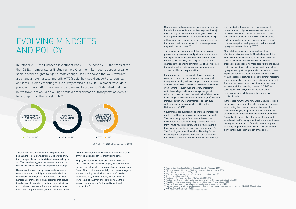These figures give an insight into how people are beginning to look at travel differently. They also show that more people want action taken than are willing to act. This paradox suggests that demand alone in the current world may not be a strong driver for change.

to three hours<sup>13</sup>, motivated by city-centre departure and arrival points and relatively short waiting times.

Employers around the globe are starting to review their travel policies, driven by employees reconsidering the necessity of travel in a new era of video conferencing. Some of the most environmentally conscious employers are even starting to make it easier for staff to take greener leave by offering employees additional 'paid travel leave' should they choose to travel via train in order to compensate for the additional travel time required<sup>14</sup>.

High-speed trains are being considered as a viable substitute to short haul flights more seriously than ever before. A survey from UBS Evidence Lab in four European countries and China suggested that leisure travellers would tolerate up to six hours on a train and that business travellers in Europe would accept up to four hours compared with a general consensus of two

In October 2019, the European Investment Bank (EIB) surveyed 28 088 citizens of the then 28 EU member states (including the UK) on their likelihood to support a ban on short-distance flights to fight climate change. Results showed that 62% favoured a ban and an even greater majority of 72% said they would support a carbon tax on flights<sup>11</sup>. Complementing this, a survey carried out by OAG, a global travel data provider, on over 2000 travellers in January and February 2020 identified that one in two travellers would be willing to take a greener mode of transportation even if it took longer than the typical flight<sup>12</sup>.

Governments and organisations are beginning to realise the extent to which aviation's emissions present a major threat to long term environmental targets - driven by air traffic growth predictions, the amplified effects of highaltitude emissions relative to those at ground level, and the lack of practical alternatives to kerosene powered engines in the short-term<sup>15</sup>.

### EVOLVING MINDSETS AND POLICY

For example, some measures that governments and regulators could consider implementing could make flying less appealing by increasing environmental taxes on flying, taxing those individuals who fly most often, or even banning frequent flyer and loyalty programmes which have a legacy of incentivising passengers to stick to air travel, and even to travel on inefficient routes (consisting of layovers rather than direct flights). Sweden introduced such environmental taxes back in 2018 with France also following suit in 2020 and the Netherlands in 2021<sup>16</sup>.

of a state bail-out package, will have to drastically reduce domestic flights on routes where there is a rail alternative with a duration of less than 2.5 hours)18 and insisted that a tenth of the EUR 15 billion support package provided to the aerospace industry be spent on speeding up the development of a carbon-neutral, hydrogen-powered plane by 2035<sup>19</sup>.

In the longer run, the EU's new Green Deal is set to be a major driver for coordinated policy change at a European level, setting the scene for decarbonisation of the economy and laying out plans to ensure that transport prices reflect its impact on the environment and health. Naturally, all aspects of aviation are in the spotlight, including air traffic management as the statement paves the way for work to 'restart' on adopting the proposal on a truly Single European Sky in the view of achieving significant reductions in aviation emissions<sup>21</sup>.

These trends are naturally contributing to increased pressure on governments and policy makers to tackle the impact of air transport on the environment. Such measures will certainly result in pressures on and changes to the operating environments of actors across the aviation value chain (aerospace manufacturers, airlines, ANSPs, and airports alike).

Governments are also looking to provide advantageous market conditions for less carbon intensive transport. This has already begun, for example, the German government has cut VAT on long-distance train travel from 19% to 7%, immediately and directly resulting in lower cost long-distance train travel for customers<sup>17</sup>. The French government has taken this a step further, by setting anti-competitive measures on rail-air shorthaul domestic travel (whereby Air France, as a receiver Although these measures are ambitious, their effectiveness is questionable. The challenge with the French competitive measures is that other domestic carriers will likely take over many of Air France's dropped routes as rail is no more attractive to the paying customer than it was before the pandemic. And while hydrogen has significant potential to reduce the climate impact of aviation, the need for larger onboard tanks would necessitate costly and extensive aircraft redesigns along with supply-chain overhauls to become prevalent. The required investments are estimated to lead to an increase in airline operating costs of USD 5-10 per passenger<sup>20</sup>. However, this cost increase could be less consequential than potential carbon taxes on flight tickets.

- **<sup>16</sup>** The Economist Flying into a Storm, The World in 2020 (2019)
- **<sup>17</sup>** The Guardian Germany cuts fares for long-distance rail travel in response to climate crisis (2020) **<sup>18</sup>** FlightGlobal - French government sets green conditions for Air France bailout (2020)
- **<sup>19</sup>** Reuters France bets on green plane in package to 'save' aerospace sector (2020) **<sup>20</sup>** Hydrogen-powered aviation. A fact-based study of hydrogen technology, economics, and climate impact by 2050 - Clean Sky 2 JU and Fuel Cells and Hydrogen 2 JU (2020)
- **<sup>21</sup>** European Commission The European Green Deal (2019)

SOURCE: 2019-2020 EIB climate survey (2019)



**<sup>11</sup>** Reuters - Ban short-haul flights for climate? In EU poll 62% say yes (2019) **<sup>12</sup>** OAG - A greener world of travel: Why it still matters and how to get there (2020) **<sup>13</sup>** UBS Evidence Lab (survey of 1000 people)

**<sup>14</sup>** BBC - Some firms give more time off to those who shun plane travel (2019) **<sup>15</sup>** Environmental Protection UK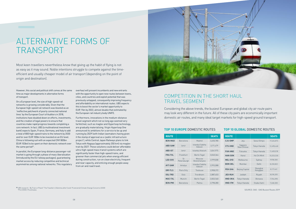### COMPETITION IN THE SHORT HAUL TRAVEL SEGMENT

On a European level, the size of high-speed rail networks is growing considerably. Given that the European high-speed rail network was blasted as an 'ineffective patchwork of poorly connected national lines' by the European Court of Auditors in 2018, institutions have doubled down on efforts, investments, and the creation of legal powers to ensure that countries make rapid progress towards completing a core network. In fact, UBS (a multinational investment bank) expects Spain, France, Germany, and Italy to add a total of 800 high-speed trains to the network by 2030 and for over EUR 100bn to be invested on an EU level. China is following suit with an expected CNY 800bn (EUR 103bn) to be spent on their domestic network over the same period<sup>22</sup>.

Considering the above trends, the busiest European and global city air route pairs may look very different in the future. All of these city pairs are economically important domestic air routes, and many ideal target markets for high-speed ground transport.

However, this social and political shift comes at the same time as major developments in alternative forms of transport.

In parallel, the European long-distance passenger-rail market is going through a phase of mass liberalisation (introduced by the EU railway packages), guaranteeing market access by reducing competitive and technical asymmetries among national networks. This regulatory

overhaul will present incumbents and new entrants with the opportunity to open new routes between towns, cities, and countries and exploit potential that was previously untapped, consequently improving frequency and affordability on international routes. UBS expects this to boost the sector's market opportunity to EUR 11bn by 2022, almost double that estimated by the European rail industry body UNIFE.

Furthermore, innovations in the medium-distance travel segment which not so long ago seemed very farfetched, such as maglev and Hyperloop technology, are gradually materialising. Virgin Hyperloop One announced its ambitions for a service to be up and running by 2029 (with Indian lawmakers having given it the stamp of approval as a 'public infrastructure project'), while Central Japan Railways plans to link Tokyo with Nagoya (approximately 350 km) via maglev train by 2027. These solutions could deliver affordable ultra-high-speed mass transit systems which are significantly faster than high-speed trains, and greener than commercial jets when energy efficient during construction, run on clean electricity, frequent and near capacity, and enticing enough people away from air and road travel.



### ALTERNATIVE FORMS OF TRANSPORT

Most keen travellers nevertheless know that giving up the habit of flying is not as easy as it may sound. Noble intentions struggle to compete against the timeefficient and usually cheaper model of air transport (depending on the point of origin and destination).

| <b>ROUTE</b>   |                    |                           | <b>SEATS</b> |  |
|----------------|--------------------|---------------------------|--------------|--|
| <b>BCN-MAD</b> | Barcelona          | Madrid                    | 3,650,780    |  |
| <b>ABD-SAW</b> | Izmir              | Istanbul Sabiha<br>Gokcen | 3,171,479    |  |
| <b>ABD-IST</b> | Izmir              | Istanbul Ataturk          | 3,041,975    |  |
| <b>FRA-TXL</b> | Frankfurt          | Berlin Tegel              | 3,040,364    |  |
| LED-SVO        | St.<br>Petersburgh | Moscow<br>Sheremetyevo    | 2,999,008    |  |
| <b>AYT-SAW</b> | Antalya            | Istanbul Sabiha<br>Gokcen | 2,993,088    |  |
| ORY-TLS        | Paris Orly         | Toulouse                  | 2,908,372    |  |
| <b>OSL-TRD</b> | Oslo               | Trondheim                 | 2,887,403    |  |
| MUC-TXL        | Munich             | <b>Berlin Tegel</b>       | 2,832,560    |  |
| <b>BCN-PMI</b> | Barcelona          | Palma                     | 2,798,280    |  |

| <b>ROUTE</b>   |                        |                      | <b>SEATS</b> |  |
|----------------|------------------------|----------------------|--------------|--|
| CJU-GMP        | Jeju                   | Seoul Gimpo          | 17,426,873   |  |
| <b>CTS-HND</b> | Sappore<br>New Chitose | Tokyo Haneda         | 12,498,468   |  |
| <b>FUK-HND</b> | Fukuoka                | Tokyo Haneda         | 11,400,018   |  |
| <b>HAN-SGN</b> | Hanoi                  | Ho Chi Minh          | 10,253,530   |  |
| <b>MEL-SYD</b> | Melbourne              | Sydney               | 9,958,500    |  |
| BOM-DEL        | Mumhai                 | Delhi                | 8,230,822    |  |
| PEK-SHA        | Beijing Capital        | Shanghai<br>Honggiao | 8,117,461    |  |
| JED-RUH        | Jeddah                 | Riyadh               | 8,018,205    |  |
| HND-OKA        | Tokyo Haneda           | Okinawa              | 7,704,098    |  |
| <b>HND-ITM</b> | Tokyo Haneda           | Osaka Itami          | 7,248,300    |  |

#### **TOP 10 EUROPE** DOMESTIC ROUTES **TOP 10 GLOBAL** DOMESTIC ROUTES

SOURCE: OAG - OAG Busiest Routes 2019

**<sup>22</sup>** UBS research - By Train or Plane?' The Traveller's Dilemma after Covid-19 and amid Climate Change Concerns (2020) \*Pre COVID-19 estimates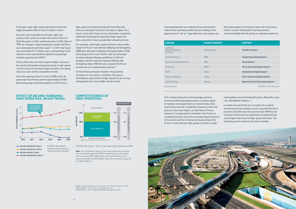In Europe, major high-speed rail projects have had highly disruptive effects on air transport routes.

Eurostar, which opened over 25 years ago, now connects the centre of London with those of Paris in 2h16, Brussels in 1h53, and Amsterdam in 3h52. Back in 1996, air transport capacity between London and Paris was estimated at 4.8 million seats $^{23}$ . In 2019, that figure was estimated at 2.7 million seats, representing a 44% reduction over a period where global air passenger numbers grew by over 200%24.

China, which has one of the largest middle-classes in the world and has been investing heavily in high-speed rail (very much in the way Europe and others are doing now), has seen similar competitive trends.

Since the opening of the first line in 2008, total rail passenger volume has grown exponentially. At 600 billion passenger-kilometres (pkm) in 2019, China's high-speed rail network produced more than four times as many pkm as those in Europe or Japan. As a result, some short-haul services have been completely withdrawn following the opening of high-speed rail lines, and others have considerably reduced services.

For example, while high-speed rail had no discernible impact on the air route between Beijing and Guangzhou (2000 km), demand for Beijing–Changsha flights (1400 km) only grew at a much slower rate, air passenger numbers between Beijing and Wuhan (1,100 km) dropped, and the reduction between Beijing and Zhengzhou (about 700 km) was so great that the air service was very substantially reduced.25

To the Chinese domestic traveller, the proximity of stations to city centres, reliability, freq uency, affordability, and comfort of high-speed rail are strong selling points for most middle-distance trips.

> This is likely to become an increasingly common trend around the developed world, as airlines adapt to maintain and expand levels of connectivity, while restrictions and anti-competitive measures come into place on short haul flights, as they have in France. However, it is important to remember that France is considered to have one of the most developed networks in the world and Paris Charles de Gaulle Airport (Air France's main hub) has high-speed rail links to major

metropolitan areas (including Brussels, Marseille, Lyon, Lille, Montpellier, Nantes…).

In reality, the world that we currently live in and its infrastructure has evolved in such a way that the direct economic benefits (and net present value (NPV)) of air transport investments are generally considered to be much higher than those of high-speed rail travel. The following section explores this more in detail.

| <b>AIRLINE</b>                             | <b>TRAIN COMPANY</b> | <b>AIRPORT</b>                       |
|--------------------------------------------|----------------------|--------------------------------------|
| Lufthansa<br>American Airlines<br>Emirates | Deutsche Bahn        | <b>Frankfurt Airport</b>             |
| <b>Austrian Airlines</b>                   | 0 <sub>BB</sub>      | Vienna International Airport         |
| Swiss International Airlines               | <b>SBB</b>           | <b>Zurich Airport</b>                |
| Air France                                 | <b>SNCF</b>          | Paris-Charles de Gaulle Airport      |
| <b>KLM</b>                                 | Thalys               | Amsterdan-Schiphol Airport           |
| American Airlines                          | Thalys               | Paris-Charles de Gaulle Airport      |
| United Airlines                            | Amtrak               | Newark Liberty International Airport |
| Not exhaustive                             |                      | SOURCE: Desk Research                |

**<sup>23</sup>** OAG - High Speed Rail Vs Air: Eurostar at 25, The Story So Far (2019) **<sup>24</sup>** World Bank - Air transport, passengers carried **<sup>25</sup>** World Bank - China's High-Speed Rail Development (2019)

Such developments are making airlines and airports rethink their operating models and are leading to the appearance of "rail-air" type alliances in key regions, by

which passengers can choose to book rail connections to/from certain cities/airports (as they would a connecting flight with the airline or codeshare partners).

SOURCE: World Bank - China's High-Speed Rail Development (2019)

Note: The competitive ranges of the three models are indicative. The air and high-speed rail (HSR) competitiveness was studied with a sample of 300-350kph lines. with a different price and speed assumptions of 200-250kph lines, the dominance range will be slightly different.

#### **COMPETITIVENESS OF HIGH-SPEED RAIL**



#### **EFFECT OF BEIJING-GANGZHOU HIGH-SPEED RAIL ON AIR TRAVEL**



BEIJING-GUANGZHOU (2,000km)

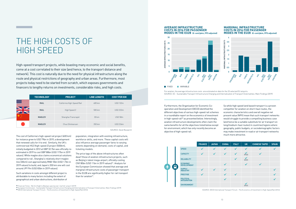**<sup>26</sup>** Financial Times - My first flight to Beijing's spectacular 'starfish' airport (2019)

**<sup>28</sup>** OECD International Transport Forum - The Economics of Investment in High-Speed Rail (2014)

| <b>TECHNOLOGY</b> | <b>PROJECT</b>             | <b>LINE LENGTH</b> | <b>COST PER KM</b> |  |
|-------------------|----------------------------|--------------------|--------------------|--|
| <b>RAIL</b>       | California High-Speed Rail | 600 km             | <b>USD 132m</b>    |  |
| <b>RAIL</b>       | High Speed 2               | 500 km             | <b>USD 233m</b>    |  |
| <b>MAGLEV</b>     | Shanghai Transrapid        | $30 \mathrm{km}$   | USD 58m            |  |
| <b>MAGLEV</b>     | Chuo Shinkansen            | $350 \mathrm{km}$  | <b>USD 236m</b>    |  |

SOURCE: Desk Research

For aviation, the average infrastructure costs are estimated on data for the 33 selected EU airports. SOURCE: EC - Sustainable Transport Infrastructure Charging and Internalisation of Transport Externalities: Main Findings (2019)



#### **AVERAGE INFRASTRUCTURE COSTS IN 2016 FOR PASSENGER MODES IN THE EU28 (€-cent/pkm, PPS adjusted)**

#### **MARGINAL INFRASTRUCTURE COSTS IN 2016 FOR PASSENGER MODES IN THE EU28 (€-cent/pkm, PPS adjusted)**



### THE HIGH COSTS OF HIGH SPEED

High-speed transport projects, while boasting many economic and social benefits, come at a cost correlated to their size (and hence, to the transport distance and network). This cost is naturally due to the need for physical infrastructure along the route and physical restrictions of geography and urban areas. Furthermore, most projects today need to be started from scratch, which exposes governments and financers to lengthy returns on investments, considerable risks, and high costs.

> The price tags of the above infrastructures often dwarf those of aviation infrastructure projects, such as Beijing's latest mega-airport, officially costing CNY 80bn (USD 11bn in 2019 values)<sup>26</sup>. Analysis for the European Commission showed that average and marginal infrastructure costs of passenger transport in the EU28 are significantly higher for rail transport than for aviation<sup>27</sup>.

Furthermore, the Organisation for Economic Cooperation and Development (OECD) identified the different objectives of various high-speed rail schemes in a roundtable report on the economics of investment in high-speed rail<sup>28</sup> as presented below. Interestingly, aviation infrastructure developments often claim the same benefits for all the objectives listed below except for environment, which has only recently become an objective of high-speed rail.

So while high speed land based transport is a proven competitor for aviation on short-haul routes, the economic characteristics and overall negative net present value (NPV) mean that such transport networks would struggle to provide a compelling business case (and hence be a suitable substitute for air transport on long/medium-haul routes) in countries/regions where geography, public budgets, or sociodemographic factors may make investment in road or air transport networks much more attractive.

| <b>FRANCE</b> | <b>JAPAN</b> | <b>CHINA</b> | <b>ITALY</b> | <b>UK</b> | <b>CHINESE TAIPEI</b> | <b>SPAIN</b> |
|---------------|--------------|--------------|--------------|-----------|-----------------------|--------------|
|               |              |              |              |           |                       |              |
|               |              |              |              | (KS2)     |                       |              |
|               |              |              |              | (HS1)     |                       |              |
|               |              |              |              |           |                       |              |
|               |              |              |              |           |                       |              |
|               |              |              |              |           |                       |              |
|               |              |              |              |           |                       |              |
|               |              |              |              | (HS1)     |                       |              |



SOURCE: OECD International Transport Forum - The Economics of Investment in High-Speed Rail (2014)

The cost of California's high-speed rail project (600 km) for instance grew to USD 79bn in 2019, a development that renewed calls for it to end. Similarly, the UK's controversial HS2 (high-speed 2) project (500km), initially budgeted in 2012 at GBP 32.7bn was officially reestimated in 2019 to cost GBP 88bn (USD 117bn in 2019 values). While maglev also claims economical solutions compared to rail , Shanghai's relatively short maglev line (30km) cost approximately RNB 10bn (USD 1.7bn in 2019 values) to build, and Japan's 350 km one will cost around JPY 9tn (USD 83bn in 2019 values).

Such variations in costs amongst different project is attributable to many factors including the extent of geographical and urban obstructions, distribution of population, integration with existing infrastructure, workforce skills, and more. These capital costs will also influence average passenger fares to varying extents depending on demand, costs of capital, and ticketing models.

**<sup>27</sup>** European Commission - Sustainable Transport Infrastructure Charging and Internalisation of Transport Externalities: Main Findings (2019)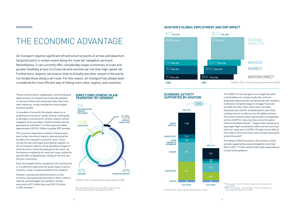**<sup>29</sup>** I.e: Spending by the 57% of tourists which travel via the air. **<sup>30</sup>** ATAG - Aviation Benefits Beyond Borders (2020)

The COVID-19 crisis has given us an insight into what a world without air transport looks like, and how drastically industry profits can deteriorate with variations in demand. Companies began to struggle financially one after the other. Fleet orders were cancelled, thousands were laid off, and bankruptcies were filed, creating a knock-on effect across the global economy. The tourism industry (which represented a considerable portion of GDP for many countries across the globe) entered immediate decline<sup>31</sup>. Supply chains seized up as passenger flight cancellations (which carried more than half of air cargo prior to COVID-19) made it more difficult and costly to move fresh food, mail, and high value goods around the world<sup>32</sup>.

According to Oxford Economics, the economic activity and jobs supported by aviation dropped by more than 50% to USD 1.7 trillion and 46 million jobs respectively as a result of the pandemic.

**<sup>31</sup>** The Guardian - Covid-19 throws Europe's tourism industry into chaos (2020)

**<sup>32</sup>** Wall Street Journal - You've Got Mail...Finally: The Pandemic Is Jamming Up the World's Post (2020)

SOURCE: ATAG - Aviation Benefits Beyond Borders (2020)

SOURCE: ATAG - Aviation Benefits Beyond Borders (2020)

#### **DIRECT EMPLOYMENT IN AIR TRANSPORT BY SEGMENT**

#### **AVIATION'S GLOBAL EMPLOYMENT AND GDP IMPACT**



#### **ECONOMIC ACTIVITY SUPPORTED BY AVIATION**



## THE ECONOMIC ADVANTAGE

However, estimates by Oxford Economics of the economic value generated by aviation's direct, indirect, induced, and leveraged $^{29}$  pre-pandemic activity amounted to 87.7 million jobs and USD 3.5 trillion in GDP annually.<sup>30</sup>

Air transport requires significant infrastructure at points of arrival and departure (airports) and to a certain extent along the route (air navigation services). Nevertheless, it can currently offer considerably larger economies of scale and greater flexibility at less of a financial and commercial risk than high-speed rail. Furthermore, airports can ensure links to virtually any other airport in the world, not simply those along a set route. For this reason, air transport has always been considered the most efficient way of linking most cities, regions, and countries.

Thanks to these factors, globalisation, and technological advancements air transport has historically doubled in size every fifteen years and grown faster than most other industries, closely tracking the trend of global economic growth.



In a pandemic free world, the aviation industry is a powerhouse of economic activity, directly creating jobs at aerospace manufacturers, airlines, airports, and air navigation service providers. Aviation activities directly generated an estimated 11.3 million jobs and added approximately USD 961.3 billion to global GDP annually.

This economic importance of aviation however goes even further than direct impacts, demonstrating the breadth of air transport's economic reach. These include the jobs and output generated by suppliers to the air transport industry, by the spending of wages of those directly or indirectly employed in the sector, by the business enabled by air travel and cargo, and by the general effect of globalisation relying on fast and costefficient connectivity.

Given this breadth and the complexity of the world we live in, it is difficult to determine the actual impact of all the economic, social, or political benefits of air transport.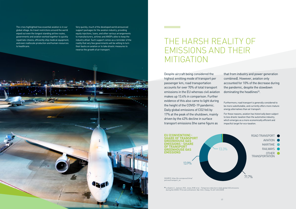The crisis highlighted how essential aviation is in our global village. As travel restrictions around the world wiped out even the longest standing airline routes, governments and aviation worked together to quickly repatriate citizens, efficiently ship medical equipment, and even reallocate production and human resources to healthcare.

Very quickly, much of the developed world announced support packages for the aviation industry, providing equity injections, loans, and other various arrangements to manufacturers, airlines and ANSPs alike to keep the industry afloat. Such support comes as a reminder of the reality that very few governments will be willing to turn their backs on aviation or to take drastic measures to reverse the growth of air transport.

> that from industry and power generation combined). However, aviation only accounted for 10% of the decrease during the pandemic, despite the slowdown dominating the headlines $33$ .

**<sup>33</sup>** Le Quéré, C., Jackson, R.B., Jones, M.W. et al. - Temporary reduction in daily global CO2 emissions during the COVID-19 forced confinement. Nat. Clim. Chang. 10, 647–653 (2020)

[policies/transport\\_en](https://ec.europa.eu/clima/policies/transport_en)

## THE HARSH REALITY OF EMISSIONS AND THEIR MITIGATION

Despite aircraft being considered the highest emitting mode of transport per passenger km, road transportation accounts for over 70% of total transport emissions in the EU whereas civil aviation makes up 13.4% in comparison. Further evidence of this also came to light during the height of the COVID-19 pandemic. Daily global emissions of CO2 fell by 17% at the peak of the shutdown, mainly driven by the 43% decline in surface transport emissions (the same figure as



Furthermore, road transport is generally considered to be more substitutable, and currently offers more mature energy alternatives than air transport.

For these reasons, aviation has historically been subject to less drastic taxation than the automotive industry, which emerges as a more economically efficient and impactful target for eco-taxation.



ROAD TRANSPORT AVIATION MARITIME **O** RAILWAYS<sup></sup> OTHER **TRANSPORTATION**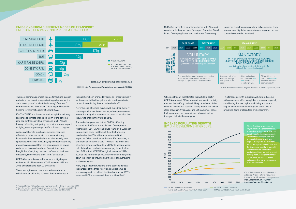While as of today, the 88 states that will take part in CORSIA represent 77% of international aviation activity, much of the traffic growth will likely remain out of the scheme's scope as a result of strong middle and urban class growth in Africa, Asia, and Latin America, hence fuelling demand for domestic and international air transport links in these regions.

This foreseen growth in aviation will naturally come with consequent effects on global emissions, especially considering that low capital availability and sector regulation in the mentioned regions could lead to prevailing fleets of older, less efficient aircraft.

#### **EMISSIONS FROM DIFFERENT MODES OF TRANSPORT** EMISSIONS PER PASSENGER PER KM TRAVELLED

#### **INDEXED POPULATION GROWTH** (BY U.N. DEVELOPMENT GROUPS)

The most common approach to date for tackling aviation emissions has been through offsetting schemes, which are a major part of much of the industry's "net zero" commitments and the Carbon Offsetting and Reduction Scheme for International Aviation (CORSIA).

the past have been branded by some as "greenwashes"34 as they essentially allow polluters to purchase offsets, rather than reducing their actual emissions<sup>35</sup>.

ICAO's CORSIA is a first of its kind as a global industry response to climate change. The aim of the scheme is to cap air transport CO2 emissions at 2019 levels through offsetting, mitigating the environmental impact of flying, even as passenger traffic is forecast to grow.

> Many argue that this tweaking of the baseline defeats the purpose of the three-year-long pilot scheme, as emissions growth is unlikely to climb back above 2019's levels and CO2 emissions will hence not be offset<sup>36</sup>.

Airlines will have to purchase emissions reduction offsets from other sectors to compensate for any increase in their own emissions (or alternatively, use specific lower carbon fuels). Buying an offset essentially means buying a credit that has been verified as having reduced emissions elsewhere. Once airlines have bought this offset, they can use it to "cancel" their own emissions, removing the offset from "circulation".

CORSIA hence acts as a soft measure, mitigating an estimated 2.5 billion tonnes of CO2 between 2021 and 2035, and stabilising net CO2 emissions.

The scheme, however, has attracted considerable criticism as an offsetting scheme. Similar schemes in Nevertheless, offsetting may be well suited for the very human paradox mentioned earlier, where people seem keener for mitigation actions to be taken on aviation than they are to change their flying habits.

The underlying concern is that CORSIA offsetting is based on the Kyoto protocol Clean Development Mechanism (CDM), whereas it was found by a European Commission study that 85% of the offset projects used under the CDM either overestimated their impact or failed to reduce emissions. Furthermore, in situations such as the COVID-19 crisis, the emissions offsetting scheme will not take 2020 into account when calculating how much airlines must pay to neutralise their CO2 output. CORSIA's original rules use 2019- 2020 as the reference point, which would in theory drag down the offset ceiling, making the cost of neutralising emissions higher.

SOURCE: <https://www.bbc.co.uk/news/science-environment-49349566>



**<sup>34</sup>** Financial Times - Airlines face long-haul to carbon-free flying, 24 November (2019) **<sup>35</sup>** Euractiv - Airlines granted huge emissions reprieve by UN compromise (2020)

SOURCE: UN Department of Economic and Social Affairs - World Population Prospects (2019), Medium fertility variant: [https://population.un.org/wpp/](https://population.un.org/wpp/Download/Standard/Population/) [Download/Standard/Population/](https://population.un.org/wpp/Download/Standard/Population/)

CORSIA is currently a voluntary scheme until 2027, and remains voluntary for Least Developed Countries, Small Island Developing States and Landlocked Developing

Countries from then onwards (and only emissions from international flights between volunteering countries are currently required to be offset).

LAND-LOCKED DEVELOPING COUNTRIES (LLDC) SMALL ISLAND DEVELOPING STATES (SIDS)

While offsetting schemes are a way to maintain a greener traffic growth in the short term, financial margins could start to come under strain in the developed world as green policies and investment begin to disrupt the market from the bottom up. Meanwhile, much of the developing world will naturally seek to establish favourable market conditions for air transport development, to the profit of their respective transport networks and economies, but at the expense of the environment.





| <b>SECOND PHASE</b>                                                                                                                                                                                                            |      |                                                                                                                                                                                                                                                   |      |      |      |      |  |
|--------------------------------------------------------------------------------------------------------------------------------------------------------------------------------------------------------------------------------|------|---------------------------------------------------------------------------------------------------------------------------------------------------------------------------------------------------------------------------------------------------|------|------|------|------|--|
| 2027<br>2028<br>2029                                                                                                                                                                                                           | 2030 | 2031                                                                                                                                                                                                                                              | 2032 | 2033 | 2034 | 2035 |  |
| MANDATORY<br>WITH EXEMPTIONS FOR: SMALL ISLANDS,<br><b>LEAST DEVELOPED COUNTRIES, LAND-LOCKED</b><br><b>DEVELOPING COUNTRIES</b><br>and States which have less than 0.5% of air traffic<br>(although they can still volunteer) |      |                                                                                                                                                                                                                                                   |      |      |      |      |  |
| Operators will offset<br>based on average<br>$CO2$ growth of the<br>sector                                                                                                                                                     |      | Offset obligations<br>Offset obligations<br>shift to include over<br>shift to be over 70%<br>20% of individual<br>based on individual<br>operator growth<br>operator growth<br>SOURCE: Aviation Benefits Beyond Borders - CORSIA explained (2020) |      |      |      |      |  |

**<sup>36</sup>** Aviation Benefits Beyond Borders - Who volunteers for CORSIA (2020)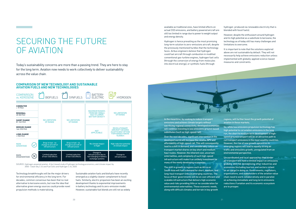### SECURING THE FUTURE OF AVIATION

Today's sustainability concerns are more than a passing trend. They are here to stay for the long term. Aviation now needs to work collectively to deliver sustainability across the value chain.

SOURCE: Hydrogen-powered aviation. A fact-based study of hydrogen technology,economics, and climate impact by 2050 - Clean Sky 2 JU and Fuel Cells and Hydrogen 2 JU, 2020

#### **COMPARISON OF NEW TECHNOLOGY AND SUSTAINABLE AVIATION FUELS AND NEW TECHNOLOGIES**

available as traditional ones, have limited effects on actual CO2 emissions, and battery powered aircraft are still too limited in range due to power to weight output and energy density.

Hydrogen is hence prevailing as the most promising long-term solution to zero-emissions aircraft, despite the previously mentioned hurdles that the technology faces. Airbus engineers believe that hydrogen could fuel aircraft through combustion in modified conventional gas-turbine engines, hydrogen fuel cells (through the conversion of energy from molecules into electrical energy), or synthetic fuels (through



hydrogen produced via renewable electricity that is blended with fossil fuels).

However, despite the enthusiasm around hydrogen and its high potential as a substitute to kerosene, the technology as of today still has many challenges and limitations to overcome.

It is important to note that the solutions explored above are not sustainable by default. They will not necessarily help achieve emissions reduction unless implemented with globally-applied science-based measures and constraints.

In the meantime, by seeking to reduce transport emissions and achieve climate targets without sacrificing regional connectivity, developed economies will continue investing in low emissions ground-based substitutes (such as high-speed rail).

Over the next decades, significant intervention in the developed world will increase the relative NPV and affordability of high-speed rail. This will consequently lead to a shift in demand, and considerably reduce air transport market shares on key short and medium haul routes. However, the inherent cost, uncertain externalities, and complexity of such high-speed infrastructure will make it an unlikely investment for many of the newly developing economies.

The shift in growth to regions such as Africa or South-Asia will fuel a demand for short, medium, and long-haul transport links in emerging countries. The focus of their governments will be on cost-efficient and scalable infrastructure that delivers high economic value and risks providing little or no consideration for environmental externalities. These economic needs, along with difficult climates and terrain in key growth

regions, will further boost the growth potential of aviation in these markets.

So, while low emissions propulsion technology has high potential to cut aviation emissions in the long run, the short to medium term development of highspeed ground transport will be an attractive path to cut transport emissions in the most wealthy countries. However, the rise of new growth epicentres in emerging regions will lead to equally strong air traffic and emissions growth, unregulated from an environmental perspective.

Uncoordinated and local approaches that hinder air transport will have a limited impact on emissions globally, and risk destabilising other industries and economies (including tourism and sectors reliant on air cargo) in doing so. Governments, regulators, organisations, and stakeholders of the aviation value chain need to work collaboratively and in parallel on achieving immediate and long term emissions reductions if aviation and its economic ecosystem are to prosper.

Technology breakthroughs will be the major drivers for environmental efficiency in the long term. For decades, common consensus has been that no real alternative to kerosene exists, but now the idea that alternative green energy sources could provide novel propulsion methods is materialising.

Sustainable aviation fuels and biofuels have recently emerged as a slightly cleaner complement to fossil fuels. Similarly, electric propulsion has been an exciting development thanks to exponential improvements in battery technology and its zero-emission model. However, sustainable fuel blends are still not as widely

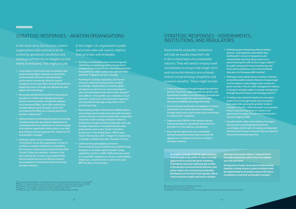Governments and public institutions will play an equally important role in the orchestration of a sustainable industry. They will need to employ novel mechanisms to ensure that longer-term environmental interests are achieved, without compromising competitive and economic benefits. These might include:

INSTITUTIONS, AND REGULATORS

### STRATEGIC RESPONSES - AVIATION ORGANISATIONS STRATEGIC RESPONSES - GOVERNMENTS,

In the short term, the focus for aviation organisations will continue to be on achieving operational excellence and tackling inefficiencies to mitigate current levels of emissions. This might include:

In the longer run, organisations public and private alike will need to redefine their priorities and strategies:

- **EXEC** Leveraging in house and external datasets and implementing digital solutions to streamline environmental efficiency and operational performance monitoring. Airports and air navigation service providers around the world are beginning to do so through live dashboards and digital twin technology<sup>37</sup>
- Reviewing and identifying inefficient operational practices to rethink and redesign processes **based on environmental cost benefit analyses** (environmental CBAs). Such CBA methods are already widespread in the public sector and promoted by the OECD as a rational and holistic decision-making tool<sup>38</sup>.
- Setting ambitious and impactful goals and working collaboratively with operational stakeholders to streamline efficiency. Heathrow is a prime example of an aviation organisation which plans to use bold goal setting in the carrying out of its 'Heathrow 2.0' sustainability strategy<sup>39</sup>.
- Seeking to obtain various independent ecocertifications across the organisation in order to maintain an audited standard of sustainability. For instance, Airports Council International (ACI) 'Airport Carbon Accreditation' scheme or the International Air Transport Association (IATA) Environmental Assessment (IEnvA) program are examples of certifications tailored to the air transport industry.
- **Fostering innovation through targeted tax vehicles.** investor incentives, legal frameworks, grants, and backed loan facilities to accelerate the development of green technologies through research and development (R&D) and entrepreneurship.
- Accelerating the production and adoption of mature sustainable fuels and propulsion technologies through public policy and infrastructure investment to enhance their scalability.
- **IMPLEMENTICORSIA in the voluntary phase** to boost demand for sustainable fuels and set a precedent for international coordination.
- **Ensuring that approaches are coordinated** and harmonised internationally to prevent the appearance of unbalanced market conditions amongst countries.
- **Publishing and maintaining widely available,** dynamic, and targeted sustainability data dashboards to ensure transparency and standardised reporting. Many airports are experimenting this with 'Airline League Tables<sup>'42</sup> for public noise performance monitoring, and Eurocontrol publishes a set of environmental indicators for European ANS monthly<sup>43</sup>.
- **Setting up smart performance incentive schemes** across the aviation industry that are strong enough to drive industry-wide change in the context of a green recovery. The air traffic management industry in Europe is already subject to similar mechanisms through the performance and charging scheme<sup>44</sup>.
- **EXP** Creating cross-industrial platforms and expert panels to drive thought leadership, innovation, and cooperation among the greatest minds in transport. The UK's 'JetZeroCouncil' is an example of such a partnership between industry and government to support the aim of achieving zeroemission flight by 2050.
- Considering the wider externalities of transport infrastructure and targeting investments accordingly, with the aim of creating an integrated and balanced transport network from an economic and environmental perspective.
- Defining a sustainability vision and strategy and rethinking a compelling growth strategy that is complementary to the former. International Airlines Group (IAG) has taken a step in the right direction with their 'Flightpath net zero' strategy.
- **Planning for multiple regulatory and market** scenarios, futureproofing business models accordingly. Organisations around the globe already do so, but it is ever more important to take environmental trends into account. Easy iet<sup>40</sup> and JetBlue<sup>41</sup> among others are examples of such planners, citing future environmental regulation and reputational damage as key risks in their annual reporting.
- Reassessing merger and acquisition (M&A) options, and strategic partnerships vertically with innovative solution providers and horizontally with comparative industries to drive change and boost resilience. Aviation has already started working with start-ups through acquisitions or incubation/acceleration programmes such as the 'Airport Innovation Accelerator' in the United States, ADP Group's 'Airport Startup Day', IAG's 'Hangar 51' programme, or Easyjet's collaboration with 'Founders Factory'.
- **Understanding and adapting to investor** Environmental, Social and Governance (ESG) trends and goals to maintain capital and debt raising capabilities. Earlier in 2020 JetBlue Airways relied on strong ESG credentials to secure a sustainabilitylinked loan, a world first for an airline set up by BNP-Paribas, a French bank .

**As aviation emerges from the unprecedented crisis brought on by COVID-19, there is a clear opportunity to accelerate green initiatives. The industry has been making green strides in the domain of environmental efficiency and policy makers are now placing sustainable development at the top of their agendas. But to reach emissions targets and ensure aviation** 

**develops into a green industry, long and shortterm decarbonisation efforts must be stepped up to the next level.** 

**Acting now is crucial. As we work collaboratively towards a strong recovery, green solutions must be implemented at all levels to secure the future of aviation in a world of sustainable transport.** 

**<sup>37</sup>** International Airport Review - Improving airport decision making with the Digital Twin concept (2019) **<sup>38</sup>** OECD - Cost-Benefit Analysis and the Environment: Further Developments and Policy Use (2018)

**<sup>39</sup>** Heathrow Airport Limited - Heathrow 2.0 2017 Sustainability Progress Summary (2018)

**<sup>40</sup>** Easyjet plc - Annual Report and Accounts 2020, Strategic Report (2020)

**<sup>41</sup>** JetBlue Airways - 2018 Sustainability Accounting Standards Board Report (2018)

**<sup>44</sup>** Steer/Egis - Further development in air traffic management in the area of performance incentives (2017)